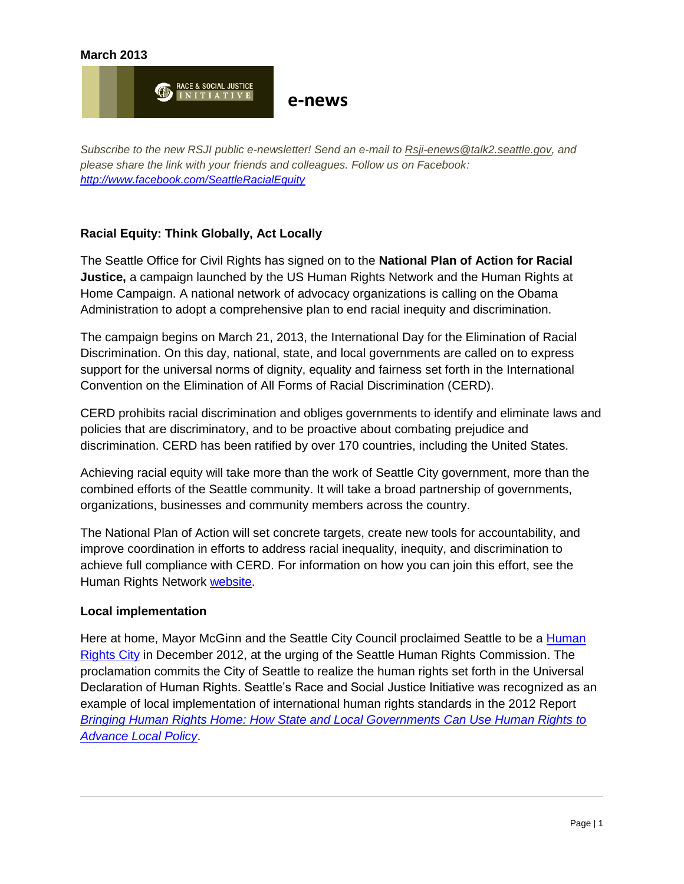

*Subscribe to the new RSJI public e-newsletter! Send an e-mail to [Rsji-enews@talk2.seattle.gov,](mailto:Rsji-enews@talk2.seattle.gov) and please share the link with your friends and colleagues. Follow us on Facebook: <http://www.facebook.com/SeattleRacialEquity>*

# **Racial Equity: Think Globally, Act Locally**

The Seattle Office for Civil Rights has signed on to the **National Plan of Action for Racial Justice,** a campaign launched by the US Human Rights Network and the Human Rights at Home Campaign. A national network of advocacy organizations is calling on the Obama Administration to adopt a comprehensive plan to end racial inequity and discrimination.

The campaign begins on March 21, 2013, the International Day for the Elimination of Racial Discrimination. On this day, national, state, and local governments are called on to express support for the universal norms of dignity, equality and fairness set forth in the International Convention on the Elimination of All Forms of Racial Discrimination (CERD).

CERD prohibits racial discrimination and obliges governments to identify and eliminate laws and policies that are discriminatory, and to be proactive about combating prejudice and discrimination. CERD has been ratified by over 170 countries, including the United States.

Achieving racial equity will take more than the work of Seattle City government, more than the combined efforts of the Seattle community. It will take a broad partnership of governments, organizations, businesses and community members across the country.

The National Plan of Action will set concrete targets, create new tools for accountability, and improve coordination in efforts to address racial inequality, inequity, and discrimination to achieve full compliance with CERD. For information on how you can join this effort, see the Human Rights Network [website.](http://www.ushrnetwork.org/our-work/campaign/national-plan-action-racial-justice)

#### **Local implementation**

Here at home, Mayor McGinn and the Seattle City Council proclaimed Seattle to be a [Human](http://clerk.seattle.gov/~scripts/nph-brs.exe?d=RESF&s1=31420.resn.&Sect6=HITOFF&l=20&p=1&u=/~public/resny.htm&r=1&f=G)  [Rights City](http://clerk.seattle.gov/~scripts/nph-brs.exe?d=RESF&s1=31420.resn.&Sect6=HITOFF&l=20&p=1&u=/~public/resny.htm&r=1&f=G) in December 2012, at the urging of the Seattle Human Rights Commission. The proclamation commits the City of Seattle to realize the human rights set forth in the Universal Declaration of Human Rights. Seattle's Race and Social Justice Initiative was recognized as an example of local implementation of international human rights standards in the 2012 Report *[Bringing Human Rights Home: How State and Local Governments Can Use Human Rights to](http://web.law.columbia.edu/human-rights-institute/human-rights-us/treaty-implementation/state-and-local-work/state-local-report)  [Advance Local Policy](http://web.law.columbia.edu/human-rights-institute/human-rights-us/treaty-implementation/state-and-local-work/state-local-report)*.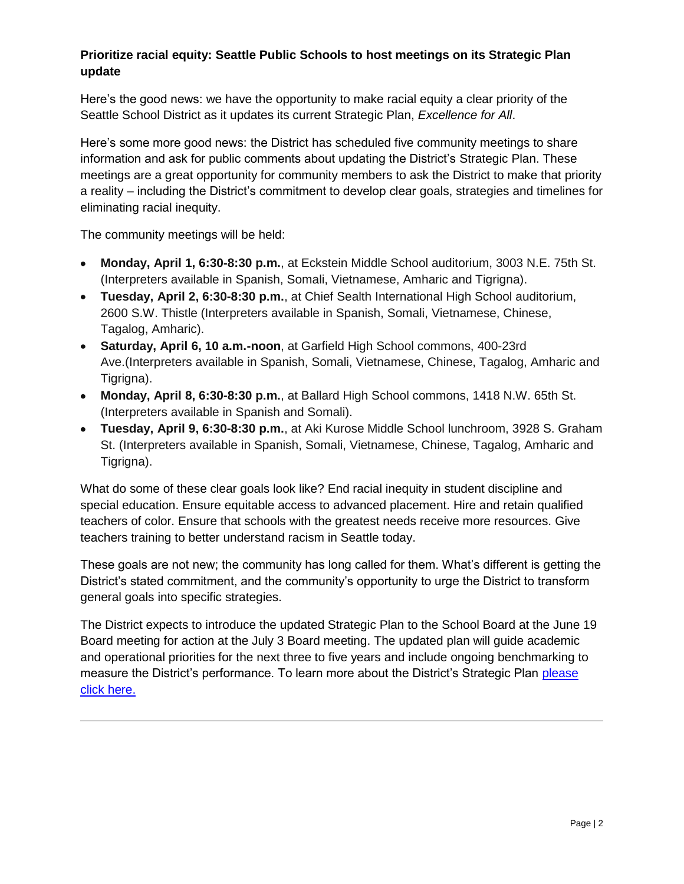# **Prioritize racial equity: Seattle Public Schools to host meetings on its Strategic Plan update**

Here's the good news: we have the opportunity to make racial equity a clear priority of the Seattle School District as it updates its current Strategic Plan, *Excellence for All*.

Here's some more good news: the District has scheduled five community meetings to share information and ask for public comments about updating the District's Strategic Plan. These meetings are a great opportunity for community members to ask the District to make that priority a reality – including the District's commitment to develop clear goals, strategies and timelines for eliminating racial inequity.

The community meetings will be held:

- **Monday, April 1, 6:30-8:30 p.m.**, at Eckstein Middle School auditorium, 3003 N.E. 75th St. (Interpreters available in Spanish, Somali, Vietnamese, Amharic and Tigrigna).
- **Tuesday, April 2, 6:30-8:30 p.m.**, at Chief Sealth International High School auditorium, 2600 S.W. Thistle (Interpreters available in Spanish, Somali, Vietnamese, Chinese, Tagalog, Amharic).
- **Saturday, April 6, 10 a.m.-noon**, at Garfield High School commons, 400-23rd Ave.(Interpreters available in Spanish, Somali, Vietnamese, Chinese, Tagalog, Amharic and Tigrigna).
- **Monday, April 8, 6:30-8:30 p.m.**, at Ballard High School commons, 1418 N.W. 65th St. (Interpreters available in Spanish and Somali).
- **Tuesday, April 9, 6:30-8:30 p.m.**, at Aki Kurose Middle School lunchroom, 3928 S. Graham St. (Interpreters available in Spanish, Somali, Vietnamese, Chinese, Tagalog, Amharic and Tigrigna).

What do some of these clear goals look like? End racial inequity in student discipline and special education. Ensure equitable access to advanced placement. Hire and retain qualified teachers of color. Ensure that schools with the greatest needs receive more resources. Give teachers training to better understand racism in Seattle today.

These goals are not new; the community has long called for them. What's different is getting the District's stated commitment, and the community's opportunity to urge the District to transform general goals into specific strategies.

The District expects to introduce the updated Strategic Plan to the School Board at the June 19 Board meeting for action at the July 3 Board meeting. The updated plan will guide academic and operational priorities for the next three to five years and include ongoing benchmarking to measure the District's performance. To learn more about the District's Strategic Plan [please](http://www.seattleschools.org/modules/cms/pages.phtml?pageid=192404&sessionid=00c7260b29ee3636517192ddd0d858c5&t)  [click here.](http://www.seattleschools.org/modules/cms/pages.phtml?pageid=192404&sessionid=00c7260b29ee3636517192ddd0d858c5&t)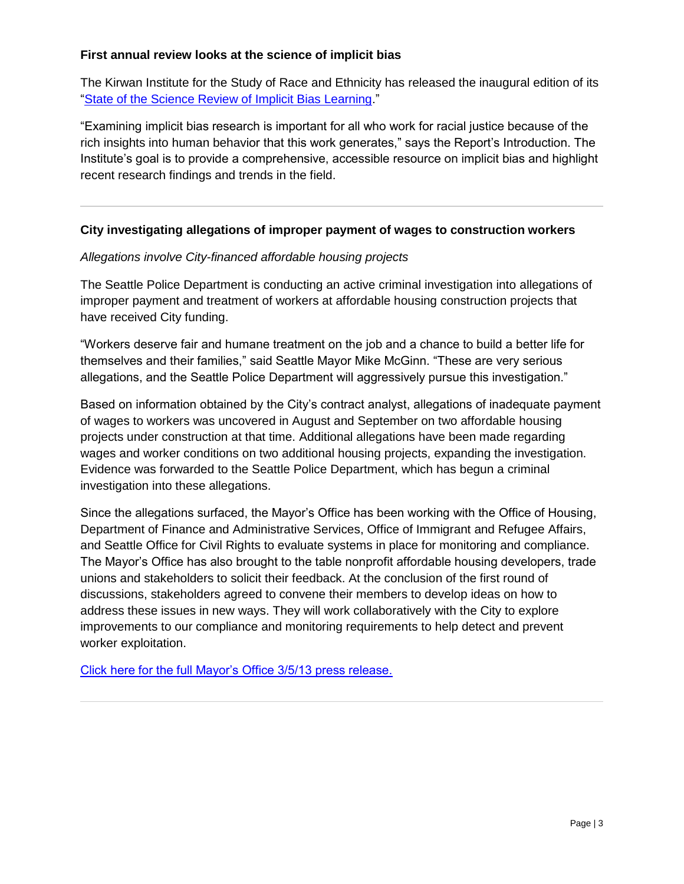# **First annual review looks at the science of implicit bias**

The Kirwan Institute for the Study of Race and Ethnicity has released the inaugural edition of its ["State of the Science Review of Implicit Bias Learning.](http://kirwaninstitute.osu.edu/docs/SOTS-Implicit_Bias.pdf)"

"Examining implicit bias research is important for all who work for racial justice because of the rich insights into human behavior that this work generates," says the Report's Introduction. The Institute's goal is to provide a comprehensive, accessible resource on implicit bias and highlight recent research findings and trends in the field.

# **City investigating allegations of improper payment of wages to construction workers**

# *Allegations involve City-financed affordable housing projects*

The Seattle Police Department is conducting an active criminal investigation into allegations of improper payment and treatment of workers at affordable housing construction projects that have received City funding.

"Workers deserve fair and humane treatment on the job and a chance to build a better life for themselves and their families," said Seattle Mayor Mike McGinn. "These are very serious allegations, and the Seattle Police Department will aggressively pursue this investigation."

Based on information obtained by the City's contract analyst, allegations of inadequate payment of wages to workers was uncovered in August and September on two affordable housing projects under construction at that time. Additional allegations have been made regarding wages and worker conditions on two additional housing projects, expanding the investigation. Evidence was forwarded to the Seattle Police Department, which has begun a criminal investigation into these allegations.

Since the allegations surfaced, the Mayor's Office has been working with the Office of Housing, Department of Finance and Administrative Services, Office of Immigrant and Refugee Affairs, and Seattle Office for Civil Rights to evaluate systems in place for monitoring and compliance. The Mayor's Office has also brought to the table nonprofit affordable housing developers, trade unions and stakeholders to solicit their feedback. At the conclusion of the first round of discussions, stakeholders agreed to convene their members to develop ideas on how to address these issues in new ways. They will work collaboratively with the City to explore improvements to our compliance and monitoring requirements to help detect and prevent worker exploitation.

[Click here for the full Mayor's Office 3/5/13 press release.](http://mayormcginn.seattle.gov/city-investigating-allegations-of-improper-payment-of-wages-to-construction-workers/)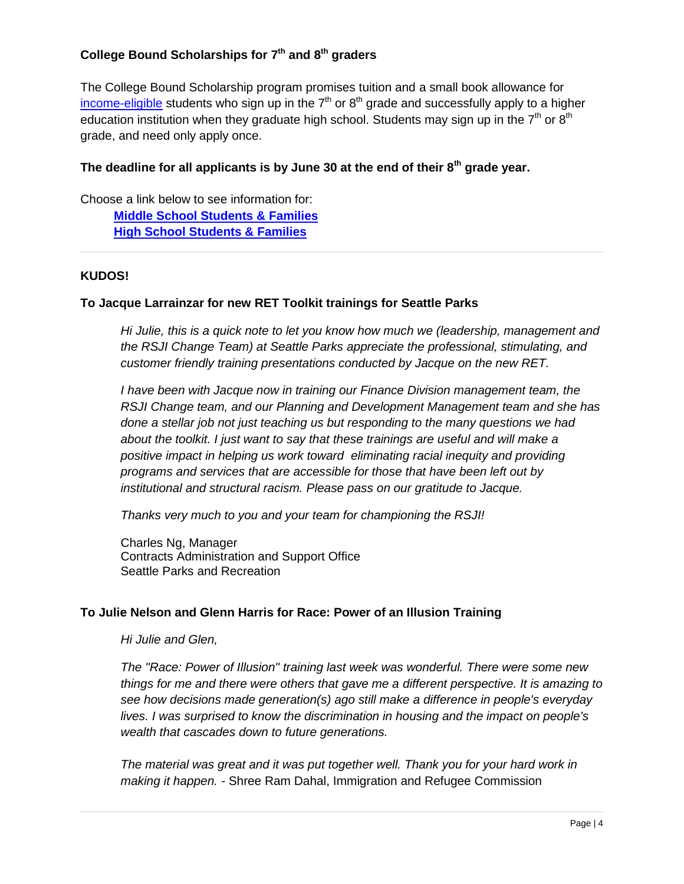# **College Bound Scholarships for 7th and 8th graders**

The College Bound Scholarship program promises tuition and a small book allowance for [income-eligible](http://www.wsac.wa.gov/PayingForCollege/FinancialAid/OpportunityPathways/CollegeBound/EligibilityApplication/IncomeChart) students who sign up in the  $7<sup>th</sup>$  or  $8<sup>th</sup>$  grade and successfully apply to a higher education institution when they graduate high school. Students may sign up in the  $7<sup>th</sup>$  or  $8<sup>th</sup>$ grade, and need only apply once.

# **The deadline for all applicants is by June 30 at the end of their 8th grade year.**

Choose a link below to see information for: **[Middle School Students & Families](http://www.wsac.wa.gov/PreparingForCollege/CollegeBound/MiddleSchool) [High School Students & Families](http://www.wsac.wa.gov/PreparingForCollege/CollegeBound/HS_Students)**

# **KUDOS!**

# **To Jacque Larrainzar for new RET Toolkit trainings for Seattle Parks**

*Hi Julie, this is a quick note to let you know how much we (leadership, management and the RSJI Change Team) at Seattle Parks appreciate the professional, stimulating, and customer friendly training presentations conducted by Jacque on the new RET.*

*I have been with Jacque now in training our Finance Division management team, the RSJI Change team, and our Planning and Development Management team and she has done a stellar job not just teaching us but responding to the many questions we had about the toolkit. I just want to say that these trainings are useful and will make a positive impact in helping us work toward eliminating racial inequity and providing programs and services that are accessible for those that have been left out by institutional and structural racism. Please pass on our gratitude to Jacque.*

*Thanks very much to you and your team for championing the RSJI!*

Charles Ng, Manager Contracts Administration and Support Office Seattle Parks and Recreation

# **To Julie Nelson and Glenn Harris for Race: Power of an Illusion Training**

*Hi Julie and Glen,*

*The "Race: Power of Illusion" training last week was wonderful. There were some new things for me and there were others that gave me a different perspective. It is amazing to see how decisions made generation(s) ago still make a difference in people's everyday lives. I was surprised to know the discrimination in housing and the impact on people's wealth that cascades down to future generations.* 

*The material was great and it was put together well. Thank you for your hard work in making it happen. -* Shree Ram Dahal, Immigration and Refugee Commission